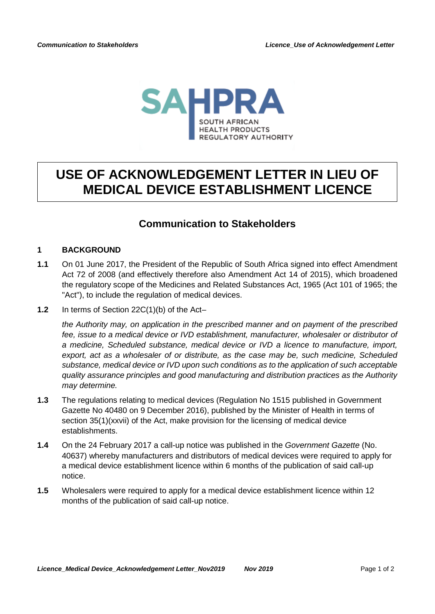

# **USE OF ACKNOWLEDGEMENT LETTER IN LIEU OF MEDICAL DEVICE ESTABLISHMENT LICENCE**

## **Communication to Stakeholders**

#### **1 BACKGROUND**

- **1.1** On 01 June 2017, the President of the Republic of South Africa signed into effect Amendment Act 72 of 2008 (and effectively therefore also Amendment Act 14 of 2015), which broadened the regulatory scope of the Medicines and Related Substances Act, 1965 (Act 101 of 1965; the "Act"), to include the regulation of medical devices.
- **1.2** In terms of Section 22C(1)(b) of the Act–

*the Authority may, on application in the prescribed manner and on payment of the prescribed fee, issue to a medical device or IVD establishment, manufacturer, wholesaler or distributor of a medicine, Scheduled substance, medical device or IVD a licence to manufacture, import, export, act as a wholesaler of or distribute, as the case may be, such medicine, Scheduled substance, medical device or IVD upon such conditions as to the application of such acceptable quality assurance principles and good manufacturing and distribution practices as the Authority may determine.*

- **1.3** The regulations relating to medical devices (Regulation No 1515 published in Government Gazette No 40480 on 9 December 2016), published by the Minister of Health in terms of section 35(1)(xxvii) of the Act, make provision for the licensing of medical device establishments.
- **1.4** On the 24 February 2017 a call-up notice was published in the *Government Gazette* (No. 40637) whereby manufacturers and distributors of medical devices were required to apply for a medical device establishment licence within 6 months of the publication of said call-up notice.
- **1.5** Wholesalers were required to apply for a medical device establishment licence within 12 months of the publication of said call-up notice.